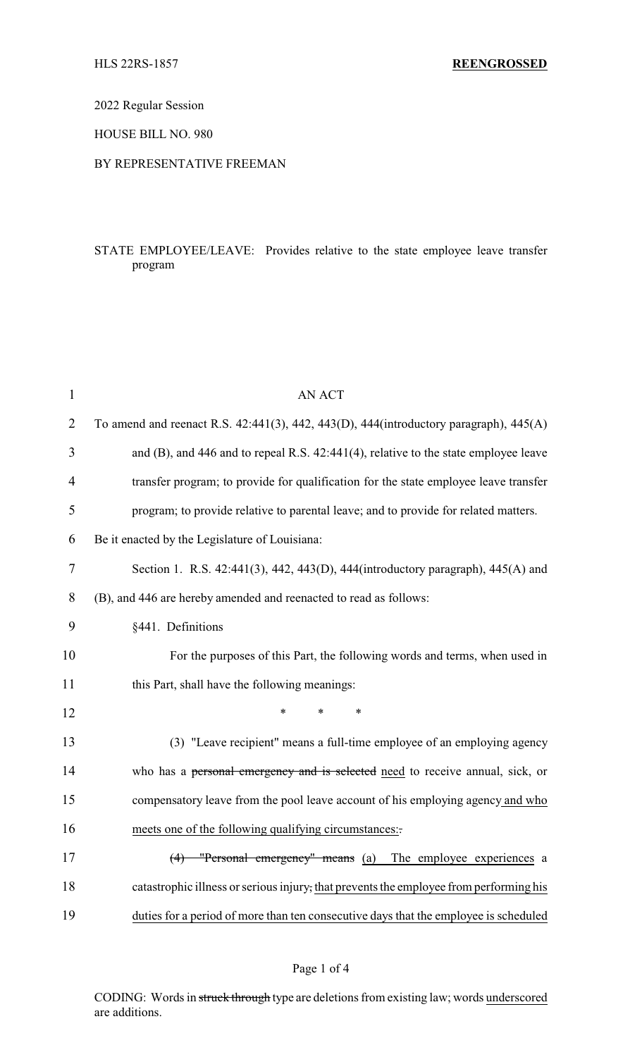2022 Regular Session

HOUSE BILL NO. 980

### BY REPRESENTATIVE FREEMAN

## STATE EMPLOYEE/LEAVE: Provides relative to the state employee leave transfer program

| $\mathbf{1}$   | <b>AN ACT</b>                                                                                      |
|----------------|----------------------------------------------------------------------------------------------------|
| $\overline{2}$ | To amend and reenact R.S. $42:441(3)$ , $442$ , $443(D)$ , $444(introductor)$ paragraph), $445(A)$ |
| 3              | and (B), and 446 and to repeal R.S. 42:441(4), relative to the state employee leave                |
| 4              | transfer program; to provide for qualification for the state employee leave transfer               |
| 5              | program; to provide relative to parental leave; and to provide for related matters.                |
| 6              | Be it enacted by the Legislature of Louisiana:                                                     |
| $\tau$         | Section 1. R.S. 42:441(3), 442, 443(D), 444(introductory paragraph), 445(A) and                    |
| 8              | (B), and 446 are hereby amended and reenacted to read as follows:                                  |
| 9              | §441. Definitions                                                                                  |
| 10             | For the purposes of this Part, the following words and terms, when used in                         |
| 11             | this Part, shall have the following meanings:                                                      |
| 12             | *<br>*                                                                                             |
| 13             | (3) "Leave recipient" means a full-time employee of an employing agency                            |
| 14             | who has a personal emergency and is selected need to receive annual, sick, or                      |
| 15             | compensatory leave from the pool leave account of his employing agency and who                     |
| 16             | meets one of the following qualifying circumstances:                                               |
| 17             | $(4)$ "Personal emergency" means (a) The employee experiences a                                    |
| 18             | catastrophic illness or serious injury, that prevents the employee from performing his             |
| 19             | duties for a period of more than ten consecutive days that the employee is scheduled               |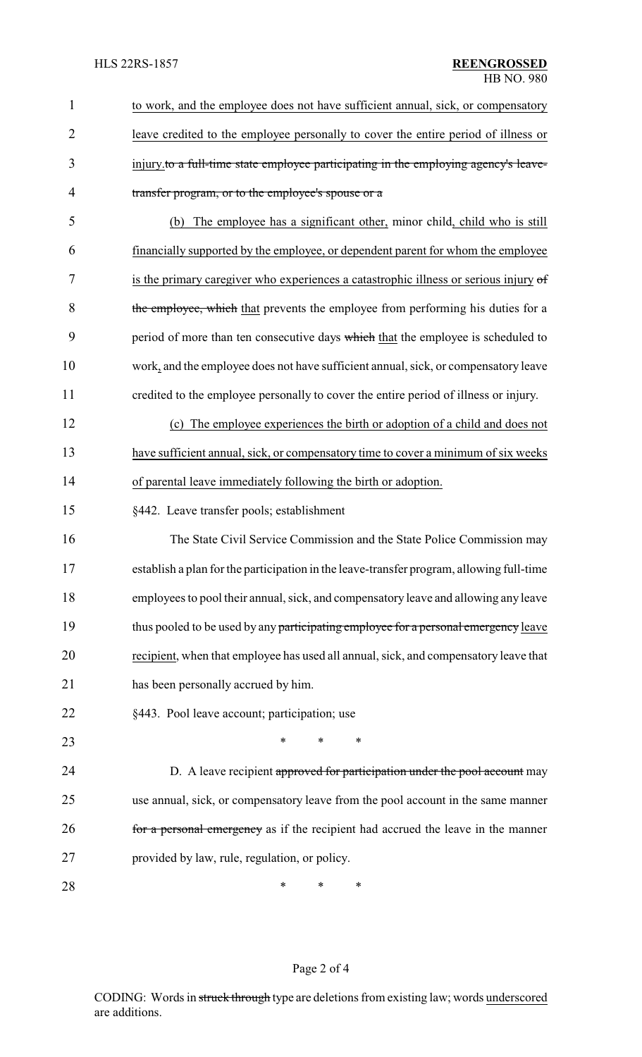| $\mathbf{1}$   | to work, and the employee does not have sufficient annual, sick, or compensatory         |
|----------------|------------------------------------------------------------------------------------------|
| $\overline{2}$ | leave credited to the employee personally to cover the entire period of illness or       |
| 3              | injury to a full-time state employee participating in the employing agency's leave-      |
| $\overline{4}$ | transfer program, or to the employee's spouse or a                                       |
| 5              | The employee has a significant other, minor child, child who is still<br>(b)             |
| 6              | financially supported by the employee, or dependent parent for whom the employee         |
| 7              | is the primary caregiver who experiences a catastrophic illness or serious injury of     |
| 8              | the employee, which that prevents the employee from performing his duties for a          |
| 9              | period of more than ten consecutive days which that the employee is scheduled to         |
| 10             | work, and the employee does not have sufficient annual, sick, or compensatory leave      |
| 11             | credited to the employee personally to cover the entire period of illness or injury.     |
| 12             | (c) The employee experiences the birth or adoption of a child and does not               |
| 13             | have sufficient annual, sick, or compensatory time to cover a minimum of six weeks       |
| 14             | of parental leave immediately following the birth or adoption.                           |
| 15             | §442. Leave transfer pools; establishment                                                |
| 16             | The State Civil Service Commission and the State Police Commission may                   |
| 17             | establish a plan for the participation in the leave-transfer program, allowing full-time |
| 18             | employees to pool their annual, sick, and compensatory leave and allowing any leave      |
| 19             | thus pooled to be used by any participating employee for a personal emergency leave      |
| 20             | recipient, when that employee has used all annual, sick, and compensatory leave that     |
| 21             | has been personally accrued by him.                                                      |
| 22             | §443. Pool leave account; participation; use                                             |
| 23             | $\ast$<br>*                                                                              |
| 24             | D. A leave recipient approved for participation under the pool account may               |
| 25             | use annual, sick, or compensatory leave from the pool account in the same manner         |
| 26             | for a personal emergency as if the recipient had accrued the leave in the manner         |
| 27             | provided by law, rule, regulation, or policy.                                            |
| 28             | $\ast$<br>∗<br>∗                                                                         |

# Page 2 of 4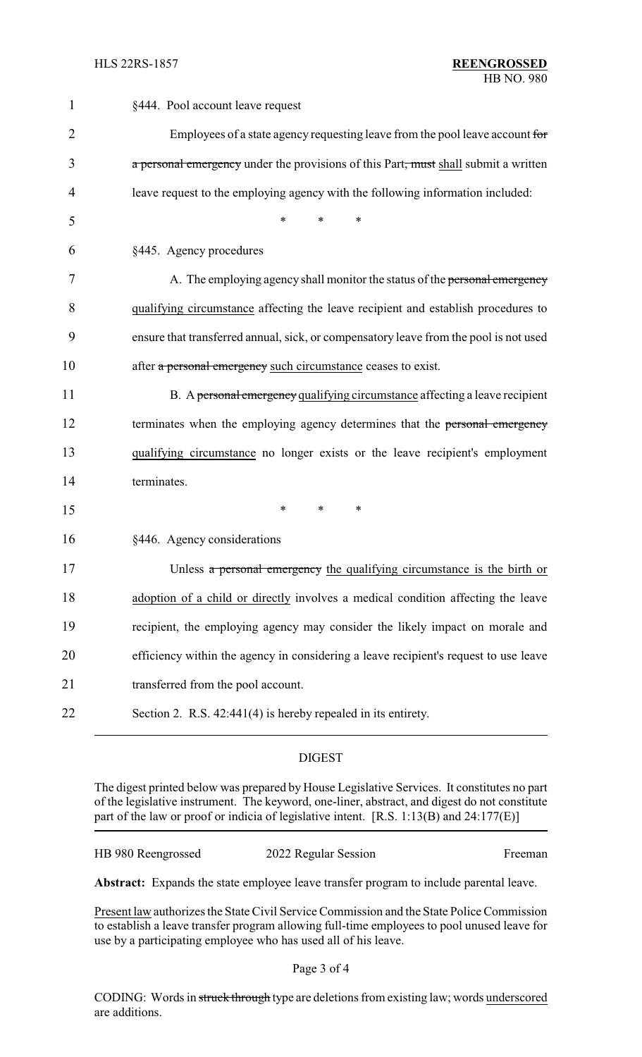| $\mathbf{1}$   | §444. Pool account leave request                                                      |
|----------------|---------------------------------------------------------------------------------------|
| $\overline{2}$ | Employees of a state agency requesting leave from the pool leave account for          |
| 3              | a personal emergency under the provisions of this Part, must shall submit a written   |
| 4              | leave request to the employing agency with the following information included:        |
| 5              | $\ast$<br>*<br>*                                                                      |
| 6              | §445. Agency procedures                                                               |
| 7              | A. The employing agency shall monitor the status of the personal emergency            |
| 8              | qualifying circumstance affecting the leave recipient and establish procedures to     |
| 9              | ensure that transferred annual, sick, or compensatory leave from the pool is not used |
| 10             | after a personal emergency such circumstance ceases to exist.                         |
| 11             | B. A personal emergency qualifying circumstance affecting a leave recipient           |
| 12             | terminates when the employing agency determines that the personal emergency           |
| 13             | qualifying circumstance no longer exists or the leave recipient's employment          |
| 14             | terminates.                                                                           |
| 15             | $\ast$<br>$*$<br>∗                                                                    |
| 16             | §446. Agency considerations                                                           |
| 17             | Unless a personal emergency the qualifying circumstance is the birth or               |
| 18             | adoption of a child or directly involves a medical condition affecting the leave      |
| 19             | recipient, the employing agency may consider the likely impact on morale and          |
| 20             | efficiency within the agency in considering a leave recipient's request to use leave  |
| 21             | transferred from the pool account.                                                    |
| 22             | Section 2. R.S. 42:441(4) is hereby repealed in its entirety.                         |
|                |                                                                                       |

## DIGEST

The digest printed below was prepared by House Legislative Services. It constitutes no part of the legislative instrument. The keyword, one-liner, abstract, and digest do not constitute part of the law or proof or indicia of legislative intent. [R.S. 1:13(B) and 24:177(E)]

HB 980 Reengrossed 2022 Regular Session Freeman

**Abstract:** Expands the state employee leave transfer program to include parental leave.

Present law authorizes the State Civil Service Commission and the State Police Commission to establish a leave transfer program allowing full-time employees to pool unused leave for use by a participating employee who has used all of his leave.

CODING: Words in struck through type are deletions from existing law; words underscored are additions.